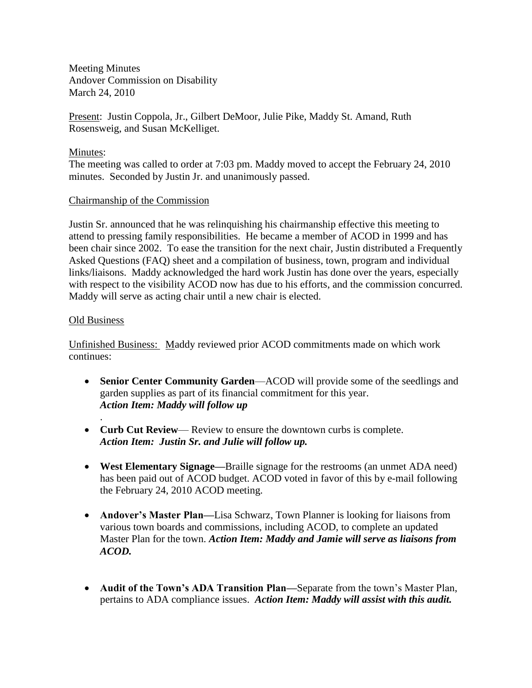Meeting Minutes Andover Commission on Disability March 24, 2010

Present: Justin Coppola, Jr., Gilbert DeMoor, Julie Pike, Maddy St. Amand, Ruth Rosensweig, and Susan McKelliget.

## Minutes:

The meeting was called to order at 7:03 pm. Maddy moved to accept the February 24, 2010 minutes. Seconded by Justin Jr. and unanimously passed.

### Chairmanship of the Commission

Justin Sr. announced that he was relinquishing his chairmanship effective this meeting to attend to pressing family responsibilities. He became a member of ACOD in 1999 and has been chair since 2002. To ease the transition for the next chair, Justin distributed a Frequently Asked Questions (FAQ) sheet and a compilation of business, town, program and individual links/liaisons. Maddy acknowledged the hard work Justin has done over the years, especially with respect to the visibility ACOD now has due to his efforts, and the commission concurred. Maddy will serve as acting chair until a new chair is elected.

### Old Business

.

Unfinished Business: Maddy reviewed prior ACOD commitments made on which work continues:

- **Senior Center Community Garden**—ACOD will provide some of the seedlings and garden supplies as part of its financial commitment for this year. *Action Item: Maddy will follow up*
- **Curb Cut Review** Review to ensure the downtown curbs is complete.  *Action Item: Justin Sr. and Julie will follow up.*
- **West Elementary Signage—**Braille signage for the restrooms (an unmet ADA need) has been paid out of ACOD budget. ACOD voted in favor of this by e-mail following the February 24, 2010 ACOD meeting.
- **Andover's Master Plan—**Lisa Schwarz, Town Planner is looking for liaisons from various town boards and commissions, including ACOD, to complete an updated Master Plan for the town. *Action Item: Maddy and Jamie will serve as liaisons from ACOD.*
- **Audit of the Town's ADA Transition Plan—**Separate from the town's Master Plan, pertains to ADA compliance issues. *Action Item: Maddy will assist with this audit.*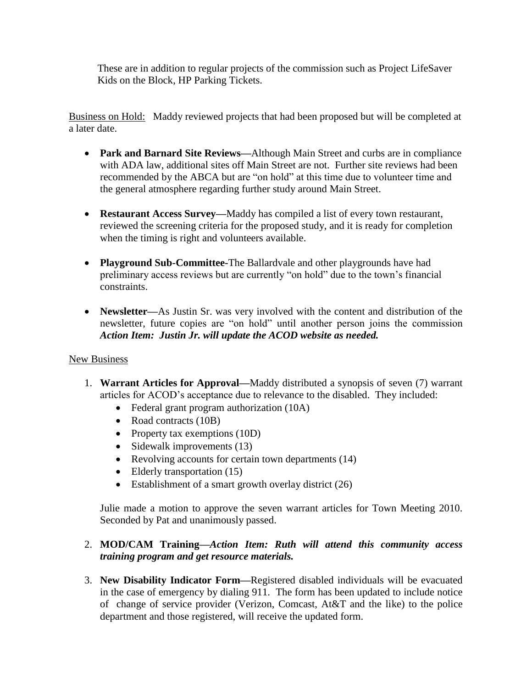These are in addition to regular projects of the commission such as Project LifeSaver Kids on the Block, HP Parking Tickets.

Business on Hold: Maddy reviewed projects that had been proposed but will be completed at a later date.

- **Park and Barnard Site Reviews—**Although Main Street and curbs are in compliance with ADA law, additional sites off Main Street are not. Further site reviews had been recommended by the ABCA but are "on hold" at this time due to volunteer time and the general atmosphere regarding further study around Main Street.
- **Restaurant Access Survey—**Maddy has compiled a list of every town restaurant, reviewed the screening criteria for the proposed study, and it is ready for completion when the timing is right and volunteers available.
- **Playground Sub-Committee-**The Ballardvale and other playgrounds have had preliminary access reviews but are currently "on hold" due to the town's financial constraints.
- **Newsletter—**As Justin Sr. was very involved with the content and distribution of the newsletter, future copies are "on hold" until another person joins the commission *Action Item: Justin Jr. will update the ACOD website as needed.*

# New Business

- 1. **Warrant Articles for Approval—**Maddy distributed a synopsis of seven (7) warrant articles for ACOD's acceptance due to relevance to the disabled. They included:
	- Federal grant program authorization (10A)
	- Road contracts (10B)
	- Property tax exemptions (10D)
	- Sidewalk improvements  $(13)$
	- Revolving accounts for certain town departments (14)
	- Elderly transportation (15)
	- Establishment of a smart growth overlay district (26)

Julie made a motion to approve the seven warrant articles for Town Meeting 2010. Seconded by Pat and unanimously passed.

# 2. **MOD/CAM Training—***Action Item: Ruth will attend this community access training program and get resource materials.*

3. **New Disability Indicator Form—**Registered disabled individuals will be evacuated in the case of emergency by dialing 911. The form has been updated to include notice of change of service provider (Verizon, Comcast, At&T and the like) to the police department and those registered, will receive the updated form.